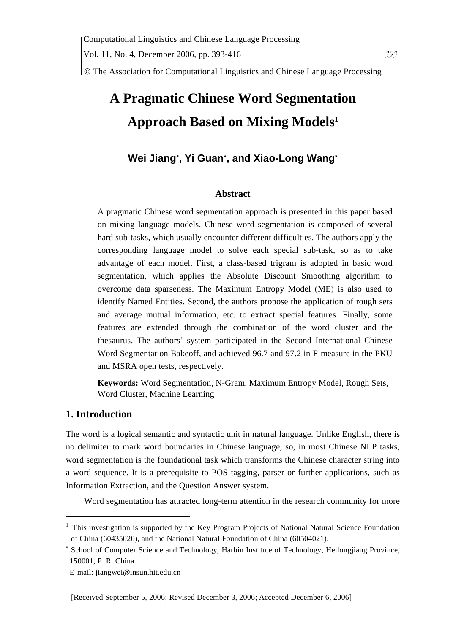© The Association for Computational Linguistics and Chinese Language Processing

# **A Pragmatic Chinese Word Segmentation Approach Based on Mixing Models1**

# **Wei Jiang**<sup>∗</sup> **, Yi Guan**<sup>∗</sup> **, and Xiao-Long Wang**<sup>∗</sup>

## **Abstract**

A pragmatic Chinese word segmentation approach is presented in this paper based on mixing language models. Chinese word segmentation is composed of several hard sub-tasks, which usually encounter different difficulties. The authors apply the corresponding language model to solve each special sub-task, so as to take advantage of each model. First, a class-based trigram is adopted in basic word segmentation, which applies the Absolute Discount Smoothing algorithm to overcome data sparseness. The Maximum Entropy Model (ME) is also used to identify Named Entities. Second, the authors propose the application of rough sets and average mutual information, etc. to extract special features. Finally, some features are extended through the combination of the word cluster and the thesaurus. The authors' system participated in the Second International Chinese Word Segmentation Bakeoff, and achieved 96.7 and 97.2 in F-measure in the PKU and MSRA open tests, respectively.

**Keywords:** Word Segmentation, N-Gram, Maximum Entropy Model, Rough Sets, Word Cluster, Machine Learning

# **1. Introduction**

 $\overline{a}$ 

The word is a logical semantic and syntactic unit in natural language. Unlike English, there is no delimiter to mark word boundaries in Chinese language, so, in most Chinese NLP tasks, word segmentation is the foundational task which transforms the Chinese character string into a word sequence. It is a prerequisite to POS tagging, parser or further applications, such as Information Extraction, and the Question Answer system.

Word segmentation has attracted long-term attention in the research community for more

<sup>&</sup>lt;sup>1</sup> This investigation is supported by the Key Program Projects of National Natural Science Foundation of China (60435020), and the National Natural Foundation of China (60504021).

<sup>∗</sup> School of Computer Science and Technology, Harbin Institute of Technology, Heilongjiang Province, 150001, P. R. China

E-mail: jiangwei@insun.hit.edu.cn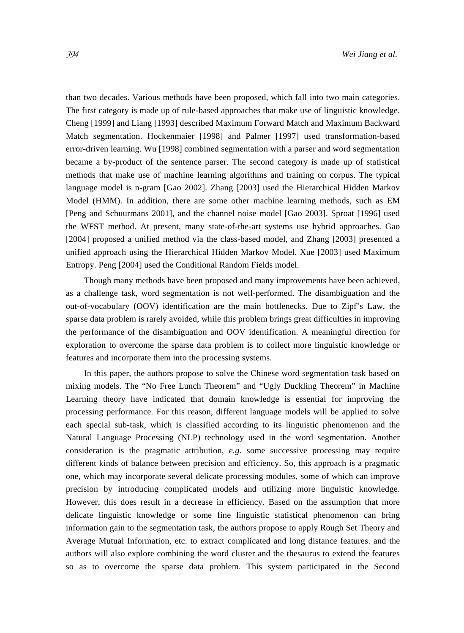than two decades. Various methods have been proposed, which fall into two main categories. The first category is made up of rule-based approaches that make use of linguistic knowledge. Cheng [1999] and Liang [1993] described Maximum Forward Match and Maximum Backward Match segmentation. Hockenmaier [1998] and Palmer [1997] used transformation-based error-driven learning. Wu [1998] combined segmentation with a parser and word segmentation became a by-product of the sentence parser. The second category is made up of statistical methods that make use of machine learning algorithms and training on corpus. The typical language model is n-gram [Gao 2002]. Zhang [2003] used the Hierarchical Hidden Markov Model (HMM). In addition, there are some other machine learning methods, such as EM [Peng and Schuurmans 2001], and the channel noise model [Gao 2003]. Sproat [1996] used the WFST method. At present, many state-of-the-art systems use hybrid approaches. Gao [2004] proposed a unified method via the class-based model, and Zhang [2003] presented a unified approach using the Hierarchical Hidden Markov Model. Xue [2003] used Maximum Entropy. Peng [2004] used the Conditional Random Fields model.

Though many methods have been proposed and many improvements have been achieved, as a challenge task, word segmentation is not well-performed. The disambiguation and the out-of-vocabulary (OOV) identification are the main bottlenecks. Due to Zipf's Law, the sparse data problem is rarely avoided, while this problem brings great difficulties in improving the performance of the disambiguation and OOV identification. A meaningful direction for exploration to overcome the sparse data problem is to collect more linguistic knowledge or features and incorporate them into the processing systems.

In this paper, the authors propose to solve the Chinese word segmentation task based on mixing models. The "No Free Lunch Theorem" and "Ugly Duckling Theorem" in Machine Learning theory have indicated that domain knowledge is essential for improving the processing performance. For this reason, different language models will be applied to solve each special sub-task, which is classified according to its linguistic phenomenon and the Natural Language Processing (NLP) technology used in the word segmentation. Another consideration is the pragmatic attribution, *e.g.* some successive processing may require different kinds of balance between precision and efficiency. So, this approach is a pragmatic one, which may incorporate several delicate processing modules, some of which can improve precision by introducing complicated models and utilizing more linguistic knowledge. However, this does result in a decrease in efficiency. Based on the assumption that more delicate linguistic knowledge or some fine linguistic statistical phenomenon can bring information gain to the segmentation task, the authors propose to apply Rough Set Theory and Average Mutual Information, etc. to extract complicated and long distance features. and the authors will also explore combining the word cluster and the thesaurus to extend the features so as to overcome the sparse data problem. This system participated in the Second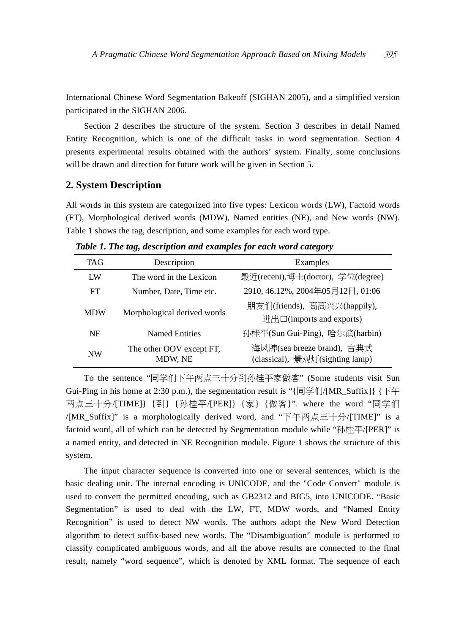International Chinese Word Segmentation Bakeoff (SIGHAN 2005), and a simplified version participated in the SIGHAN 2006.

Section 2 describes the structure of the system. Section 3 describes in detail Named Entity Recognition, which is one of the difficult tasks in word segmentation. Section 4 presents experimental results obtained with the authors' system. Finally, some conclusions will be drawn and direction for future work will be given in Section 5.

## **2. System Description**

All words in this system are categorized into five types: Lexicon words (LW), Factoid words (FT), Morphological derived words (MDW), Named entities (NE), and New words (NW). Table 1 shows the tag, description, and some examples for each word type.

| TAG        | Description                         | Examples                                                      |  |
|------------|-------------------------------------|---------------------------------------------------------------|--|
| <b>I</b> W | The word in the Lexicon             | 最近(recent),博士(doctor), 学位(degree)                             |  |
| FT         | Number, Date, Time etc.             | 2910, 46.12%, 2004年05月12日, 01:06                              |  |
| <b>MDW</b> | Morphological derived words         | 朋友们(friends), 高高兴兴(happily),<br>进出口(imports and exports)      |  |
| NE.        | Named Entities                      | 孙桂平(Sun Gui-Ping), 哈尔滨(harbin)                                |  |
| <b>NW</b>  | The other OOV except FT,<br>MDW, NE | 海风牌(sea breeze brand), 古典式<br>(classical), 景观灯(sighting lamp) |  |

*Table 1. The tag, description and examples for each word category* 

To the sentence "同学们下午两点三十分到孙桂平家做客" (Some students visit Sun Gui-Ping in his home at 2:30 p.m.), the segmentation result is " $\{\Box \cong \Uparrow \Box \text{MR}_S \text{Suffix}\}\$ 两点三十分/[TIME]} {到} {孙桂平/[PER]} {家} {做客}". where the word "同学们 /[MR\_Suffix]" is a morphologically derived word, and "下午两点三十分/[TIME]" is a factoid word, all of which can be detected by Segmentation module while "孙桂平/[PER]" is a named entity, and detected in NE Recognition module. Figure 1 shows the structure of this system.

The input character sequence is converted into one or several sentences, which is the basic dealing unit. The internal encoding is UNICODE, and the "Code Convert" module is used to convert the permitted encoding, such as GB2312 and BIG5, into UNICODE. "Basic Segmentation" is used to deal with the LW, FT, MDW words, and "Named Entity Recognition" is used to detect NW words. The authors adopt the New Word Detection algorithm to detect suffix-based new words. The "Disambiguation" module is performed to classify complicated ambiguous words, and all the above results are connected to the final result, namely "word sequence", which is denoted by XML format. The sequence of each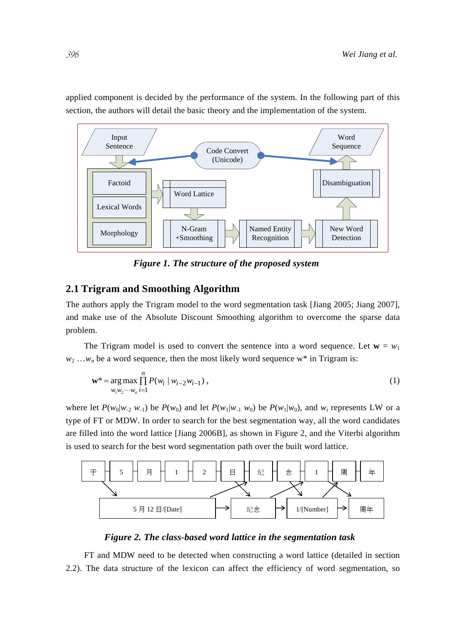

applied component is decided by the performance of the system. In the following part of this section, the authors will detail the basic theory and the implementation of the system.

*Figure 1. The structure of the proposed system* 

# **2.1 Trigram and Smoothing Algorithm**

The authors apply the Trigram model to the word segmentation task [Jiang 2005; Jiang 2007], and make use of the Absolute Discount Smoothing algorithm to overcome the sparse data problem.

The Trigram model is used to convert the sentence into a word sequence. Let  $\mathbf{w} = w_1$  $w_2$  ... $w_n$  be a word sequence, then the most likely word sequence w<sup>\*</sup> in Trigram is:

$$
\mathbf{w}^* = \arg \max_{w_i w_2 \cdots w_n} \prod_{i=1}^n P(w_i \mid w_{i-2} w_{i-1}), \qquad (1)
$$

where let  $P(w_0|w_2 w_1)$  be  $P(w_0)$  and let  $P(w_1|w_1 w_0)$  be  $P(w_1|w_0)$ , and  $w_i$  represents LW or a type of FT or MDW. In order to search for the best segmentation way, all the word candidates are filled into the word lattice [Jiang 2006B], as shown in Figure 2, and the Viterbi algorithm is used to search for the best word segmentation path over the built word lattice.



*Figure 2. The class-based word lattice in the segmentation task* 

FT and MDW need to be detected when constructing a word lattice (detailed in section 2.2). The data structure of the lexicon can affect the efficiency of word segmentation, so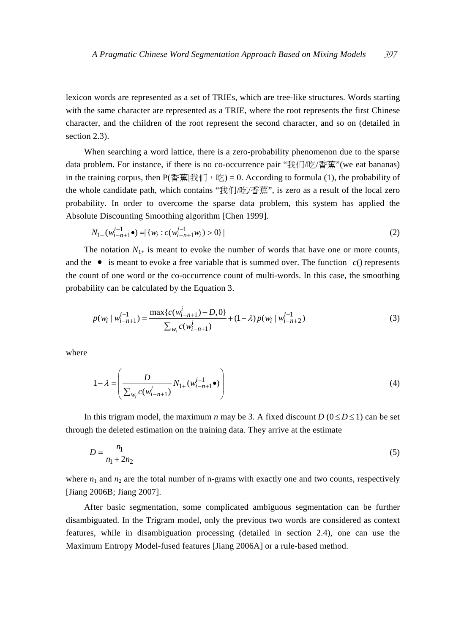lexicon words are represented as a set of TRIEs, which are tree-like structures. Words starting with the same character are represented as a TRIE, where the root represents the first Chinese character, and the children of the root represent the second character, and so on (detailed in section 2.3).

When searching a word lattice, there is a zero-probability phenomenon due to the sparse data problem. For instance, if there is no co-occurrence pair "我们/吃/香蕉"(we eat bananas) in the training corpus, then  $P(\overline{\Phi}$ 蕉|我们, 吃) = 0. According to formula (1), the probability of the whole candidate path, which contains "我们/吃/香蕉", is zero as a result of the local zero probability. In order to overcome the sparse data problem, this system has applied the Absolute Discounting Smoothing algorithm [Chen 1999].

$$
N_{1+}(w_{i-n+1}^{i-1}\bullet) = \{w_i : c(w_{i-n+1}^{i-1}w_i) > 0\} \tag{2}
$$

The notation  $N_{1+}$  is meant to evoke the number of words that have one or more counts, and the  $\bullet$  is meant to evoke a free variable that is summed over. The function  $c()$  represents the count of one word or the co-occurrence count of multi-words. In this case, the smoothing probability can be calculated by the Equation 3.

$$
p(w_i | w_{i-n+1}^{i-1}) = \frac{\max\{c(w_{i-n+1}^i) - D, 0\}}{\sum_{w_i} c(w_{i-n+1}^i)} + (1 - \lambda) p(w_i | w_{i-n+2}^{i-1})
$$
(3)

where

$$
1 - \lambda = \left(\frac{D}{\sum_{w_i} c(w_{i-n+1}^i)} N_{1+}(w_{i-n+1}^{i-1} \bullet)\right)
$$
 (4)

In this trigram model, the maximum *n* may be 3. A fixed discount  $D(0 \le D \le 1)$  can be set through the deleted estimation on the training data. They arrive at the estimate

$$
D = \frac{n_1}{n_1 + 2n_2} \tag{5}
$$

where  $n_1$  and  $n_2$  are the total number of n-grams with exactly one and two counts, respectively [Jiang 2006B; Jiang 2007].

After basic segmentation, some complicated ambiguous segmentation can be further disambiguated. In the Trigram model, only the previous two words are considered as context features, while in disambiguation processing (detailed in section 2.4), one can use the Maximum Entropy Model-fused features [Jiang 2006A] or a rule-based method.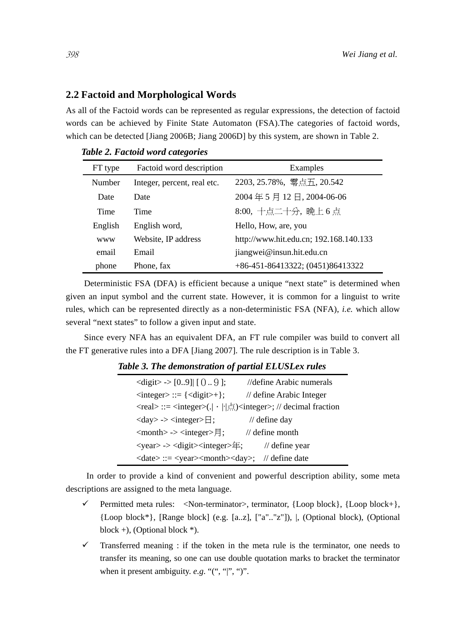## **2.2 Factoid and Morphological Words**

As all of the Factoid words can be represented as regular expressions, the detection of factoid words can be achieved by Finite State Automaton (FSA).The categories of factoid words, which can be detected [Jiang 2006B; Jiang 2006D] by this system, are shown in Table 2.

| FT type | Factoid word description    | Examples                               |
|---------|-----------------------------|----------------------------------------|
| Number  | Integer, percent, real etc. | 2203, 25.78%, 零点五, 20.542              |
| Date    | Date                        | 2004年5月12日, 2004-06-06                 |
| Time    | Time                        | 8:00, 十点二十分, 晚上 6 点                    |
| English | English word,               | Hello, How, are, you                   |
| www     | Website, IP address         | http://www.hit.edu.cn; 192.168.140.133 |
| email   | Email                       | jiangwei@insun.hit.edu.cn              |
| phone   | Phone, fax                  | +86-451-86413322; (0451)86413322       |

*Table 2. Factoid word categories* 

Deterministic FSA (DFA) is efficient because a unique "next state" is determined when given an input symbol and the current state. However, it is common for a linguist to write rules, which can be represented directly as a non-deterministic FSA (NFA), *i.e.* which allow several "next states" to follow a given input and state.

Since every NFA has an equivalent DFA, an FT rule compiler was build to convert all the FT generative rules into a DFA [Jiang 2007]. The rule description is in Table 3.

# *Table 3. The demonstration of partial ELUSLex rules*

| $\langle \text{digit} \rangle \rightarrow [0.9] \mid [09];$                                | //define Arabic numerals   |
|--------------------------------------------------------------------------------------------|----------------------------|
| $\langle$ integer> ::= $\{\langle$ digit>+};                                               | // define Arabic Integer   |
| <real> ::= <integer>(.  ·    点)<integer>; // decimal fraction</integer></integer></real>   |                            |
| $\langle day \rangle \rightarrow \langle integer \rangle \exists$ ;                        | $\frac{1}{2}$ define day   |
| $\langle \text{month} \rangle \rightarrow \langle \text{integer} \rangle$ = \;             | $\frac{1}{2}$ define month |
| <year> -&gt; <digit> <integer>年;</integer></digit></year>                                  | // define year             |
| $\langle date \rangle ::= \langle year \rangle \langle month \rangle \langle day \rangle;$ | // define date             |

 In order to provide a kind of convenient and powerful description ability, some meta descriptions are assigned to the meta language.

- $\checkmark$  Permitted meta rules:  $\langle$ Non-terminator $\rangle$ , terminator, {Loop block}, {Loop block+}, {Loop block\*}, [Range block] (e.g. [a..z], ["a".."z"]), |, (Optional block), (Optional block  $+$ ), (Optional block  $*$ ).
- $\checkmark$  Transferred meaning : if the token in the meta rule is the terminator, one needs to transfer its meaning, so one can use double quotation marks to bracket the terminator when it present ambiguity. *e.g*. "(", "|", ")".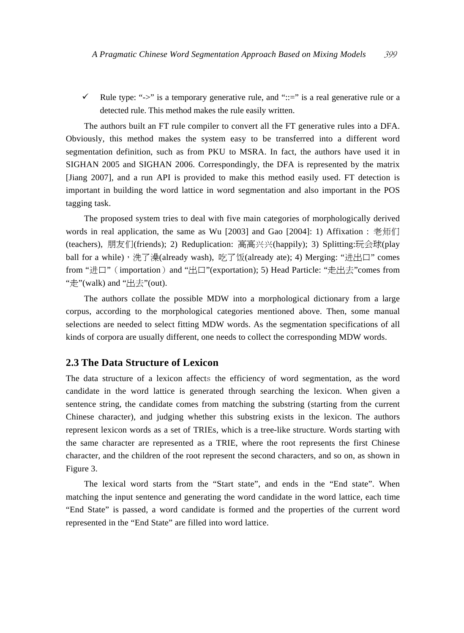$\checkmark$  Rule type: "->" is a temporary generative rule, and "::=" is a real generative rule or a detected rule. This method makes the rule easily written.

The authors built an FT rule compiler to convert all the FT generative rules into a DFA. Obviously, this method makes the system easy to be transferred into a different word segmentation definition, such as from PKU to MSRA. In fact, the authors have used it in SIGHAN 2005 and SIGHAN 2006. Correspondingly, the DFA is represented by the matrix [Jiang 2007], and a run API is provided to make this method easily used. FT detection is important in building the word lattice in word segmentation and also important in the POS tagging task.

The proposed system tries to deal with five main categories of morphologically derived words in real application, the same as Wu [2003] and Gao [2004]: 1) Affixation : 老师们 (teachers), 朋友们(friends); 2) Reduplication: 高高兴兴(happily); 3) Splitting:玩会球(play ball for a while),洗了澡(already wash), 吃了饭(already ate); 4) Merging: "进出口" comes from "进口" (importation) and "出口"(exportation); 5) Head Particle: "走出去"comes from "走"(walk) and " $H\ddot{\pm}$ "(out).

The authors collate the possible MDW into a morphological dictionary from a large corpus, according to the morphological categories mentioned above. Then, some manual selections are needed to select fitting MDW words. As the segmentation specifications of all kinds of corpora are usually different, one needs to collect the corresponding MDW words.

## **2.3 The Data Structure of Lexicon**

The data structure of a lexicon affects the efficiency of word segmentation, as the word candidate in the word lattice is generated through searching the lexicon. When given a sentence string, the candidate comes from matching the substring (starting from the current Chinese character), and judging whether this substring exists in the lexicon. The authors represent lexicon words as a set of TRIEs, which is a tree-like structure. Words starting with the same character are represented as a TRIE, where the root represents the first Chinese character, and the children of the root represent the second characters, and so on, as shown in Figure 3.

The lexical word starts from the "Start state", and ends in the "End state". When matching the input sentence and generating the word candidate in the word lattice, each time "End State" is passed, a word candidate is formed and the properties of the current word represented in the "End State" are filled into word lattice.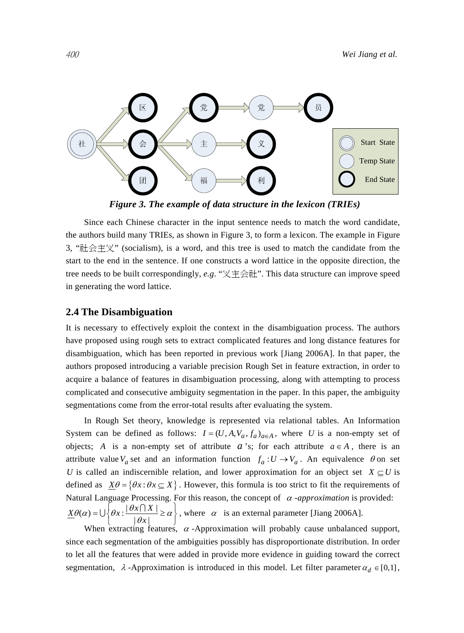

*Figure 3. The example of data structure in the lexicon (TRIEs)* 

Since each Chinese character in the input sentence needs to match the word candidate, the authors build many TRIEs, as shown in Figure 3, to form a lexicon. The example in Figure 3, "社会主义" (socialism), is a word, and this tree is used to match the candidate from the start to the end in the sentence. If one constructs a word lattice in the opposite direction, the tree needs to be built correspondingly, *e.g*. "义主会社". This data structure can improve speed in generating the word lattice.

#### **2.4 The Disambiguation**

It is necessary to effectively exploit the context in the disambiguation process. The authors have proposed using rough sets to extract complicated features and long distance features for disambiguation, which has been reported in previous work [Jiang 2006A]. In that paper, the authors proposed introducing a variable precision Rough Set in feature extraction, in order to acquire a balance of features in disambiguation processing, along with attempting to process complicated and consecutive ambiguity segmentation in the paper. In this paper, the ambiguity segmentations come from the error-total results after evaluating the system.

In Rough Set theory, knowledge is represented via relational tables. An Information System can be defined as follows:  $I = (U, A, V_a, f_a)_{a \in A}$ , where *U* is a non-empty set of objects; *A* is a non-empty set of attribute *a* 's; for each attribute  $a \in A$ , there is an attribute value  $V_a$  set and an information function  $f_a: U \to V_a$ . An equivalence  $\theta$  on set *U* is called an indiscernible relation, and lower approximation for an object set  $X \subseteq U$  is defined as  $X\theta = \{ \theta x : \theta x \subseteq X \}$ . However, this formula is too strict to fit the requirements of Natural Language Processing. For this reason, the concept of <sup>α</sup> *-approximation* is provided:  $\underline{X}\theta(\alpha) = \bigcup \left\{\theta x : \frac{|\theta x \cap X|}{|\theta x|}\right\}$  $\theta(\alpha) = \bigcup \left\{ \theta x : \frac{|\theta x \cap X|}{|\theta x|} \ge \alpha \right\}$ , where  $\alpha$  is an external parameter [Jiang 2006A].

When extracting features,  $\alpha$ -Approximation will probably cause unbalanced support, since each segmentation of the ambiguities possibly has disproportionate distribution. In order to let all the features that were added in provide more evidence in guiding toward the correct segmentation,  $\lambda$ -Approximation is introduced in this model. Let filter parameter  $\alpha_d \in [0,1]$ ,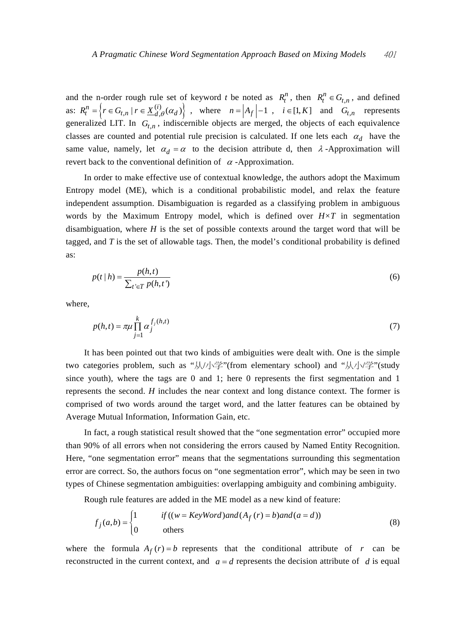and the n-order rough rule set of keyword *t* be noted as  $R_t^n$ , then  $R_t^n \in G_{t,n}$ , and defined as:  $R_t^n = \left\{ r \in G_{t,n} \mid r \in \underline{X}_{d,\theta}^{(i)}(\alpha_d) \right\}$ , where  $n = |A_f| - 1$ ,  $i \in [1, K]$  and  $G_{t,n}$  represents generalized LIT. In  $G_{t,n}$ , indiscernible objects are merged, the objects of each equivalence classes are counted and potential rule precision is calculated. If one lets each  $\alpha_d$  have the same value, namely, let  $\alpha_d = \alpha$  to the decision attribute d, then  $\lambda$ -Approximation will revert back to the conventional definition of  $\alpha$  -Approximation.

In order to make effective use of contextual knowledge, the authors adopt the Maximum Entropy model (ME), which is a conditional probabilistic model, and relax the feature independent assumption. Disambiguation is regarded as a classifying problem in ambiguous words by the Maximum Entropy model, which is defined over *H×T* in segmentation disambiguation, where *H* is the set of possible contexts around the target word that will be tagged, and *T* is the set of allowable tags. Then, the model's conditional probability is defined as:

$$
p(t|h) = \frac{p(h,t)}{\sum_{t' \in T} p(h,t')}
$$
\n
$$
(6)
$$

where,

$$
p(h,t) = \pi \mu \prod_{j=1}^{k} \alpha_j^{f_j(h,t)}
$$
\n<sup>(7)</sup>

It has been pointed out that two kinds of ambiguities were dealt with. One is the simple two categories problem, such as "从/小学"(from elementary school) and "从小学"(study since youth), where the tags are 0 and 1; here 0 represents the first segmentation and 1 represents the second. *H* includes the near context and long distance context. The former is comprised of two words around the target word, and the latter features can be obtained by Average Mutual Information, Information Gain, etc.

In fact, a rough statistical result showed that the "one segmentation error" occupied more than 90% of all errors when not considering the errors caused by Named Entity Recognition. Here, "one segmentation error" means that the segmentations surrounding this segmentation error are correct. So, the authors focus on "one segmentation error", which may be seen in two types of Chinese segmentation ambiguities: overlapping ambiguity and combining ambiguity.

Rough rule features are added in the ME model as a new kind of feature:

$$
f_j(a,b) = \begin{cases} 1 & \text{if } ((w = KeyWord) \text{ and } (A_f(r) = b) \text{ and } (a = d)) \\ 0 & \text{others} \end{cases}
$$
(8)

where the formula  $A_f(r) = b$  represents that the conditional attribute of *r* can be reconstructed in the current context, and  $a = d$  represents the decision attribute of *d* is equal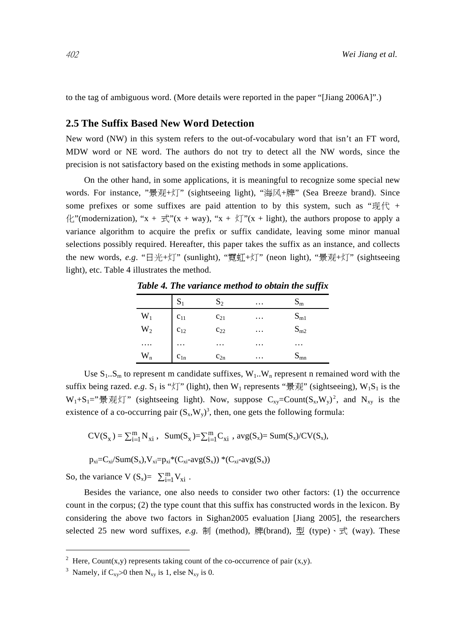to the tag of ambiguous word. (More details were reported in the paper "[Jiang 2006A]".)

## **2.5 The Suffix Based New Word Detection**

New word (NW) in this system refers to the out-of-vocabulary word that isn't an FT word, MDW word or NE word. The authors do not try to detect all the NW words, since the precision is not satisfactory based on the existing methods in some applications.

On the other hand, in some applications, it is meaningful to recognize some special new words. For instance, "景观+灯" (sightseeing light), "海风+牌" (Sea Breeze brand). Since some prefixes or some suffixes are paid attention to by this system, such as " $\mathbb{R}/\mathbb{R}$  +  $\mathcal{H}$ "(modernization), "x +  $\pm \overrightarrow{x}$ "(x + way), "x +  $\overrightarrow{x}$ "(x + light), the authors propose to apply a variance algorithm to acquire the prefix or suffix candidate, leaving some minor manual selections possibly required. Hereafter, this paper takes the suffix as an instance, and collects the new words, *e.g*. "日光+灯" (sunlight), "霓虹+灯" (neon light), "景观+灯" (sightseeing light), etc. Table 4 illustrates the method.

|                               |                          |          |          | . .               |
|-------------------------------|--------------------------|----------|----------|-------------------|
|                               | $S_1$                    | $S_2$    | $\cdots$ | $S_{m}$           |
|                               |                          | $c_{21}$ | $\cdots$ |                   |
| $\mathbf{W}_1$ $\mathbf{W}_2$ | $c_{11}$<br>$c_{12}$<br> | $c_{22}$ | $\cdots$ | $S_{m1}$ $S_{m2}$ |
| .                             |                          | .        | $\cdots$ | $\cdots$          |
| $\mathbf{W}_{\rm n}$          | $c_{1n}$                 | $c_{2n}$ | $\cdots$ | $S_{mn}$          |

*Table 4. The variance method to obtain the suffix* 

Use  $S_1...S_m$  to represent m candidate suffixes,  $W_1...W_n$  represent n remained word with the suffix being razed. *e.g.* S<sub>1</sub> is " $\sqrt{x}$ " (light), then W<sub>1</sub> represents " $\frac{1}{3}$  W<sub>1</sub>" (sightseeing), W<sub>1</sub>S<sub>1</sub> is the  $W_1+S_1=$ "景观灯" (sightseeing light). Now, suppose  $C_{xy}=Count(S_x,W_y)^2$ , and  $N_{xy}$  is the existence of a co-occurring pair  $(S_x, W_y)^3$ , then, one gets the following formula:

$$
CV(S_x)=\textstyle\sum_{i=1}^mN_{xi}\;,\;\;Sum(S_x)=\textstyle\sum_{i=1}^mC_{xi}\;,\;avg(S_x)=Sum(S_x)/CV(S_x),
$$

 $p_{xi}=C_{xi}/Sum(S_x), V_{xi}=p_{xi}*(C_{xi} - avg(S_x))*(C_{xi} - avg(S_x))$ 

So, the variance V  $(S_x) = \sum_{i=1}^{m} V_{xi}$ .

 $\overline{a}$ 

Besides the variance, one also needs to consider two other factors: (1) the occurrence count in the corpus; (2) the type count that this suffix has constructed words in the lexicon. By considering the above two factors in Sighan2005 evaluation [Jiang 2005], the researchers selected 25 new word suffixes, *e.g.* 制 (method), 牌(brand), 型 (type)、式 (way). These

<sup>&</sup>lt;sup>2</sup> Here, Count(x,y) represents taking count of the co-occurrence of pair (x,y).

<sup>&</sup>lt;sup>3</sup> Namely, if  $C_{xy}$ >0 then  $N_{xy}$  is 1, else  $N_{xy}$  is 0.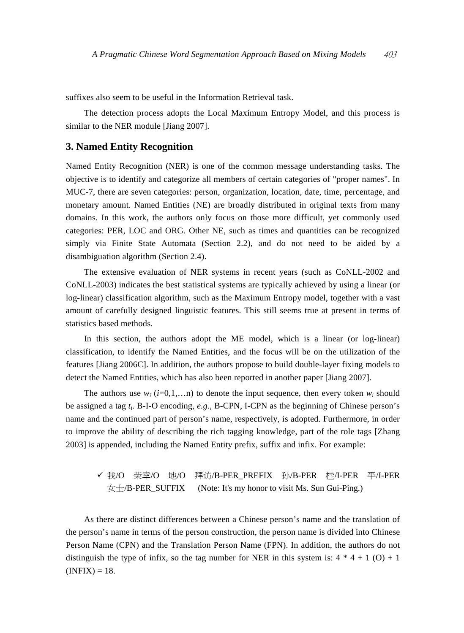suffixes also seem to be useful in the Information Retrieval task.

The detection process adopts the Local Maximum Entropy Model, and this process is similar to the NER module [Jiang 2007].

# **3. Named Entity Recognition**

Named Entity Recognition (NER) is one of the common message understanding tasks. The objective is to identify and categorize all members of certain categories of "proper names". In MUC-7, there are seven categories: person, organization, location, date, time, percentage, and monetary amount. Named Entities (NE) are broadly distributed in original texts from many domains. In this work, the authors only focus on those more difficult, yet commonly used categories: PER, LOC and ORG. Other NE, such as times and quantities can be recognized simply via Finite State Automata (Section 2.2), and do not need to be aided by a disambiguation algorithm (Section 2.4).

The extensive evaluation of NER systems in recent years (such as CoNLL-2002 and CoNLL-2003) indicates the best statistical systems are typically achieved by using a linear (or log-linear) classification algorithm, such as the Maximum Entropy model, together with a vast amount of carefully designed linguistic features. This still seems true at present in terms of statistics based methods.

In this section, the authors adopt the ME model, which is a linear (or log-linear) classification, to identify the Named Entities, and the focus will be on the utilization of the features [Jiang 2006C]. In addition, the authors propose to build double-layer fixing models to detect the Named Entities, which has also been reported in another paper [Jiang 2007].

The authors use  $w_i$  ( $i=0,1,...n$ ) to denote the input sequence, then every token  $w_i$  should be assigned a tag *ti*. B-I-O encoding, *e.g*., B-CPN, I-CPN as the beginning of Chinese person's name and the continued part of person's name, respectively, is adopted. Furthermore, in order to improve the ability of describing the rich tagging knowledge, part of the role tags [Zhang 2003] is appended, including the Named Entity prefix, suffix and infix. For example:

# ✔ 我/O 荣幸/O 地/O 拜访/B-PER PREFIX 孙/B-PER 桂/I-PER 平/I-PER 女士/B-PER\_SUFFIX (Note: It's my honor to visit Ms. Sun Gui-Ping.)

As there are distinct differences between a Chinese person's name and the translation of the person's name in terms of the person construction, the person name is divided into Chinese Person Name (CPN) and the Translation Person Name (FPN). In addition, the authors do not distinguish the type of infix, so the tag number for NER in this system is:  $4 * 4 + 1$  (O) + 1  $(INFIX) = 18.$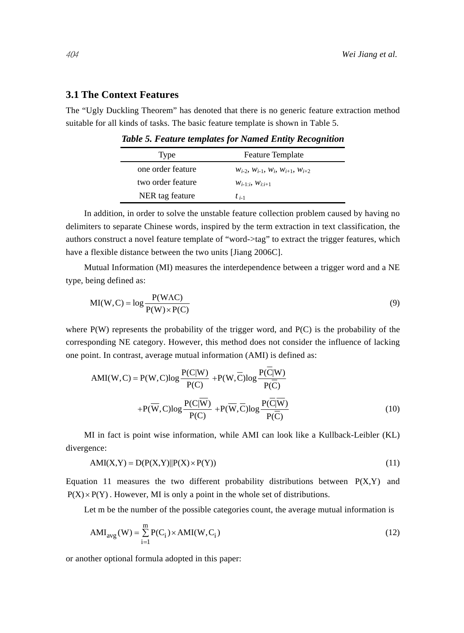# **3.1 The Context Features**

The "Ugly Duckling Theorem" has denoted that there is no generic feature extraction method suitable for all kinds of tasks. The basic feature template is shown in Table 5.

| Type              | <b>Feature Template</b>                               |
|-------------------|-------------------------------------------------------|
| one order feature | $W_{i-2}$ , $W_{i-1}$ , $W_i$ , $W_{i+1}$ , $W_{i+2}$ |
| two order feature | $W_{i-1}, W_{i-i+1}$                                  |
| NER tag feature   | $t_{i-1}$                                             |

*Table 5. Feature templates for Named Entity Recognition* 

In addition, in order to solve the unstable feature collection problem caused by having no delimiters to separate Chinese words, inspired by the term extraction in text classification, the authors construct a novel feature template of "word->tag" to extract the trigger features, which have a flexible distance between the two units [Jiang 2006C].

Mutual Information (MI) measures the interdependence between a trigger word and a NE type, being defined as:

$$
MI(W, C) = \log \frac{P(WAC)}{P(W) \times P(C)}
$$
\n(9)

where  $P(W)$  represents the probability of the trigger word, and  $P(C)$  is the probability of the corresponding NE category. However, this method does not consider the influence of lacking one point. In contrast, average mutual information (AMI) is defined as:

$$
AMI(W, C) = P(W, C) \log \frac{P(C|W)}{P(C)} + P(W, \overline{C}) \log \frac{P(C|W)}{P(\overline{C})} + P(\overline{W}, C) \log \frac{P(C|\overline{W})}{P(C)} + P(\overline{W}, \overline{C}) \log \frac{P(\overline{C}|\overline{W})}{P(\overline{C})}
$$
(10)

MI in fact is point wise information, while AMI can look like a Kullback-Leibler (KL) divergence:

$$
AMI(X,Y) = D(P(X,Y)||P(X) \times P(Y))
$$
\n(11)

Equation 11 measures the two different probability distributions between  $P(X, Y)$  and  $P(X) \times P(Y)$ . However, MI is only a point in the whole set of distributions.

Let m be the number of the possible categories count, the average mutual information is

$$
AMI_{avg}(W) = \sum_{i=1}^{m} P(C_i) \times AMI(W, C_i)
$$
\n(12)

or another optional formula adopted in this paper: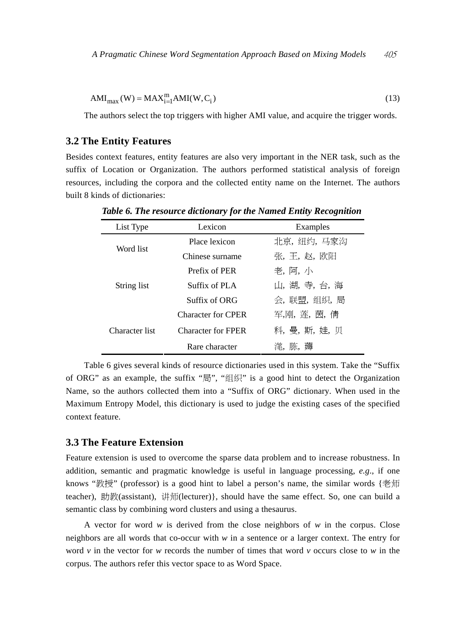$$
AMI_{max}(W) = MAX_{i=1}^{m} AMI(W, C_i)
$$
\n(13)

The authors select the top triggers with higher AMI value, and acquire the trigger words.

## **3.2 The Entity Features**

Besides context features, entity features are also very important in the NER task, such as the suffix of Location or Organization. The authors performed statistical analysis of foreign resources, including the corpora and the collected entity name on the Internet. The authors built 8 kinds of dictionaries:

| List Type      | Lexicon                   | Examples      |
|----------------|---------------------------|---------------|
| Word list      | Place lexicon             | 北京,纽约,马家沟     |
|                | Chinese surname           | 张,王,赵,欧阳      |
|                | Prefix of PER             | 老, 阿, 小       |
| String list    | Suffix of PLA             | 山, 湖, 寺, 台, 海 |
|                | Suffix of ORG             | 会,联盟,组织,局     |
|                | <b>Character for CPER</b> | 军、刚、浑、茵、倩     |
| Character list | <b>Character for FPER</b> | 科,曼,斯,娃,贝     |
|                | Rare character            | 滗. 胨. 薅       |

*Table 6. The resource dictionary for the Named Entity Recognition* 

Table 6 gives several kinds of resource dictionaries used in this system. Take the "Suffix of ORG" as an example, the suffix "局", "组织" is a good hint to detect the Organization Name, so the authors collected them into a "Suffix of ORG" dictionary. When used in the Maximum Entropy Model, this dictionary is used to judge the existing cases of the specified context feature.

# **3.3 The Feature Extension**

Feature extension is used to overcome the sparse data problem and to increase robustness. In addition, semantic and pragmatic knowledge is useful in language processing, *e.g*., if one knows "教授" (professor) is a good hint to label a person's name, the similar words {老师 teacher), 助教(assistant), 讲师(lecturer)}, should have the same effect. So, one can build a semantic class by combining word clusters and using a thesaurus.

A vector for word *w* is derived from the close neighbors of *w* in the corpus. Close neighbors are all words that co-occur with *w* in a sentence or a larger context. The entry for word *v* in the vector for *w* records the number of times that word *v* occurs close to *w* in the corpus. The authors refer this vector space to as Word Space.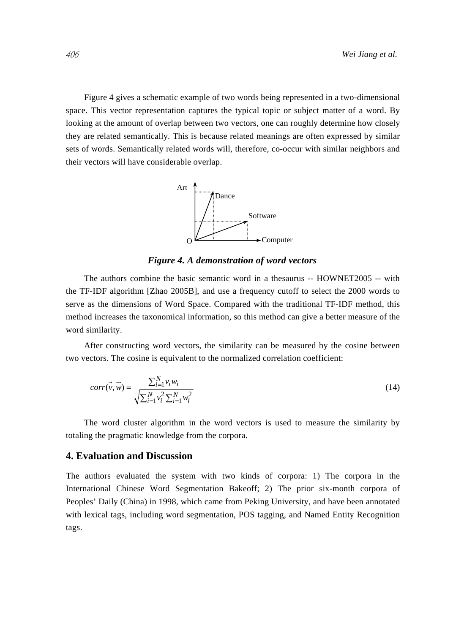Figure 4 gives a schematic example of two words being represented in a two-dimensional space. This vector representation captures the typical topic or subject matter of a word. By looking at the amount of overlap between two vectors, one can roughly determine how closely they are related semantically. This is because related meanings are often expressed by similar sets of words. Semantically related words will, therefore, co-occur with similar neighbors and their vectors will have considerable overlap.



*Figure 4. A demonstration of word vectors* 

The authors combine the basic semantic word in a thesaurus -- HOWNET2005 -- with the TF-IDF algorithm [Zhao 2005B], and use a frequency cutoff to select the 2000 words to serve as the dimensions of Word Space. Compared with the traditional TF-IDF method, this method increases the taxonomical information, so this method can give a better measure of the word similarity.

After constructing word vectors, the similarity can be measured by the cosine between two vectors. The cosine is equivalent to the normalized correlation coefficient:

$$
corr(\vec{v}, \vec{w}) = \frac{\sum_{i=1}^{N} v_i w_i}{\sqrt{\sum_{i=1}^{N} v_i^2 \sum_{i=1}^{N} w_i^2}}
$$
(14)

The word cluster algorithm in the word vectors is used to measure the similarity by totaling the pragmatic knowledge from the corpora.

# **4. Evaluation and Discussion**

The authors evaluated the system with two kinds of corpora: 1) The corpora in the International Chinese Word Segmentation Bakeoff; 2) The prior six-month corpora of Peoples' Daily (China) in 1998, which came from Peking University, and have been annotated with lexical tags, including word segmentation, POS tagging, and Named Entity Recognition tags.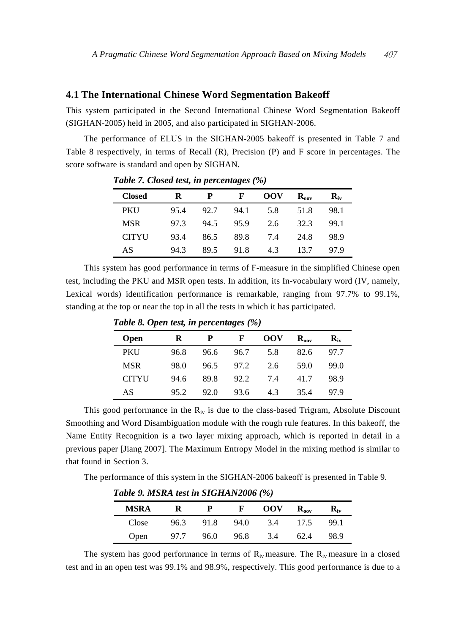### **4.1 The International Chinese Word Segmentation Bakeoff**

This system participated in the Second International Chinese Word Segmentation Bakeoff (SIGHAN-2005) held in 2005, and also participated in SIGHAN-2006.

The performance of ELUS in the SIGHAN-2005 bakeoff is presented in Table 7 and Table 8 respectively, in terms of Recall (R), Precision (P) and F score in percentages. The score software is standard and open by SIGHAN.

| <b>Closed</b> | R    | P    | F    | <b>OOV</b> | $\mathbf{R}_{\text{nov}}$ | $R_{iv}$ |
|---------------|------|------|------|------------|---------------------------|----------|
| PKU           | 95.4 | 92.7 | 94.1 | 5.8        | 51.8                      | 98.1     |
| <b>MSR</b>    | 97.3 | 94.5 | 95.9 | 2.6        | 32.3                      | 99.1     |
| <b>CITYU</b>  | 93.4 | 86.5 | 89.8 | 7.4        | 24.8                      | 98.9     |
| AS            | 94.3 | 89.5 | 91.8 | 4.3        | 13.7                      | 97.9     |

*Table 7. Closed test, in percentages (%)* 

This system has good performance in terms of F-measure in the simplified Chinese open test, including the PKU and MSR open tests. In addition, its In-vocabulary word (IV, namely, Lexical words) identification performance is remarkable, ranging from 97.7% to 99.1%, standing at the top or near the top in all the tests in which it has participated.

| <b>Open</b>  | R    | P    | F    | <b>OOV</b> | $\mathbf{R}_{\text{now}}$ | $\mathbf{R}_{\mathbf{iv}}$ |
|--------------|------|------|------|------------|---------------------------|----------------------------|
| <b>PKU</b>   | 96.8 | 96.6 | 96.7 | 5.8        | 82.6                      | 97.7                       |
| <b>MSR</b>   | 98.0 | 96.5 | 97.2 | 2.6        | 59.0                      | 99.0                       |
| <b>CITYU</b> | 94.6 | 89.8 | 92.2 | 7.4        | 41.7                      | 98.9                       |
| AS           | 95.2 | 92.0 | 93.6 | 4.3        | 35.4                      | 97.9                       |

*Table 8. Open test, in percentages (%)* 

This good performance in the  $R_{iv}$  is due to the class-based Trigram, Absolute Discount Smoothing and Word Disambiguation module with the rough rule features. In this bakeoff, the Name Entity Recognition is a two layer mixing approach, which is reported in detail in a previous paper [Jiang 2007]. The Maximum Entropy Model in the mixing method is similar to that found in Section 3.

The performance of this system in the SIGHAN-2006 bakeoff is presented in Table 9.

| Table 9. MSRA test in SIGHAN2006 (%) |      |      |      |            |               |                          |
|--------------------------------------|------|------|------|------------|---------------|--------------------------|
| <b>MSRA</b>                          | ĸ    |      | F    | <b>OOV</b> | $R_{\rm nov}$ | $\mathbf{R}_{\text{iv}}$ |
| Close                                | 96.3 | 91.8 | 94.0 | 3.4        | 17.5          | 99.1                     |
| Open                                 | 97.7 | 96.0 | 96.8 | 34         | 62.4          | 98.9                     |

The system has good performance in terms of  $R_{iv}$  measure. The  $R_{iv}$  measure in a closed test and in an open test was 99.1% and 98.9%, respectively. This good performance is due to a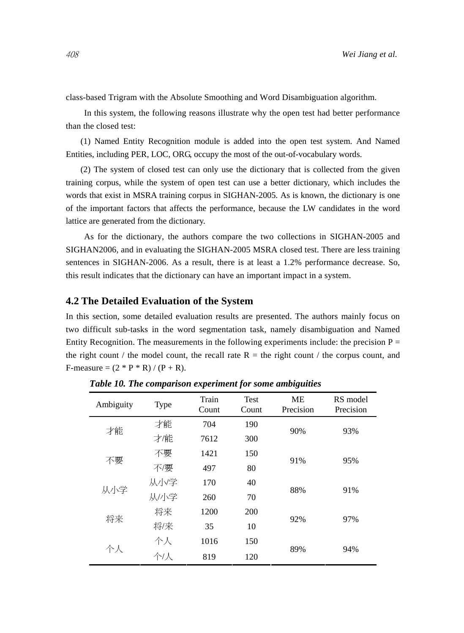class-based Trigram with the Absolute Smoothing and Word Disambiguation algorithm.

In this system, the following reasons illustrate why the open test had better performance than the closed test:

(1) Named Entity Recognition module is added into the open test system. And Named Entities, including PER, LOC, ORG, occupy the most of the out-of-vocabulary words.

(2) The system of closed test can only use the dictionary that is collected from the given training corpus, while the system of open test can use a better dictionary, which includes the words that exist in MSRA training corpus in SIGHAN-2005. As is known, the dictionary is one of the important factors that affects the performance, because the LW candidates in the word lattice are generated from the dictionary.

As for the dictionary, the authors compare the two collections in SIGHAN-2005 and SIGHAN2006, and in evaluating the SIGHAN-2005 MSRA closed test. There are less training sentences in SIGHAN-2006. As a result, there is at least a 1.2% performance decrease. So, this result indicates that the dictionary can have an important impact in a system.

## **4.2 The Detailed Evaluation of the System**

In this section, some detailed evaluation results are presented. The authors mainly focus on two difficult sub-tasks in the word segmentation task, namely disambiguation and Named Entity Recognition. The measurements in the following experiments include: the precision  $P =$ the right count / the model count, the recall rate  $R =$  the right count / the corpus count, and F-measure =  $(2 * P * R) / (P + R)$ .

| Ambiguity | <b>Type</b> | Train<br>Count | Test<br>Count | MЕ<br>Precision | RS model<br>Precision |  |
|-----------|-------------|----------------|---------------|-----------------|-----------------------|--|
| 才能        | 才能          | 704            | 190           | 90%             |                       |  |
|           | 才能          | 7612           | 300           |                 | 93%                   |  |
| 不要        | 不要          | 1421           | 150           |                 | 95%                   |  |
|           | 不/要         | 497            | 80            | 91%             |                       |  |
|           | 从小学         | 170            | 40            |                 | 91%                   |  |
| 从小学       | 从小学         | 260            | 70            | 88%             |                       |  |
| 将来        | 将来          | 1200           | 200           |                 |                       |  |
|           | 将/来         | 35             | 10            | 92%             | 97%                   |  |
| 个人        | 个人          | 1016           | 150           | 89%             | 94%                   |  |
|           | 个/人         | 819            | 120           |                 |                       |  |

*Table 10. The comparison experiment for some ambiguities*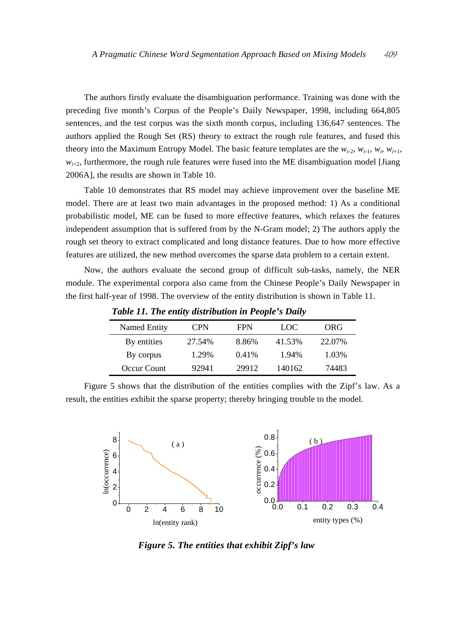The authors firstly evaluate the disambiguation performance. Training was done with the preceding five month's Corpus of the People's Daily Newspaper, 1998, including 664,805 sentences, and the test corpus was the sixth month corpus, including 136,647 sentences. The authors applied the Rough Set (RS) theory to extract the rough rule features, and fused this theory into the Maximum Entropy Model. The basic feature templates are the  $w_{i-2}$ ,  $w_{i-1}$ ,  $w_i$ ,  $w_{i+1}$ ,  $w_{i+2}$ , furthermore, the rough rule features were fused into the ME disambiguation model [Jiang] 2006A], the results are shown in Table 10.

Table 10 demonstrates that RS model may achieve improvement over the baseline ME model. There are at least two main advantages in the proposed method: 1) As a conditional probabilistic model, ME can be fused to more effective features, which relaxes the features independent assumption that is suffered from by the N-Gram model; 2) The authors apply the rough set theory to extract complicated and long distance features. Due to how more effective features are utilized, the new method overcomes the sparse data problem to a certain extent.

Now, the authors evaluate the second group of difficult sub-tasks, namely, the NER module. The experimental corpora also came from the Chinese People's Daily Newspaper in the first half-year of 1998. The overview of the entity distribution is shown in Table 11.

| Tuble II, The enthy also wallon in I copie's Dully |            |            |        |        |  |  |
|----------------------------------------------------|------------|------------|--------|--------|--|--|
| Named Entity                                       | <b>CPN</b> | <b>FPN</b> | LOC    | ORG    |  |  |
| By entities                                        | 27.54%     | 8.86%      | 41.53% | 22.07% |  |  |
| By corpus                                          | 1.29%      | 0.41%      | 1.94%  | 1.03%  |  |  |
| Occur Count                                        | 92941      | 29912      | 140162 | 74483  |  |  |

*Table 11. The entity distribution in People's Daily* 

Figure 5 shows that the distribution of the entities complies with the Zipf's law. As a result, the entities exhibit the sparse property; thereby bringing trouble to the model.



*Figure 5. The entities that exhibit Zipf's law*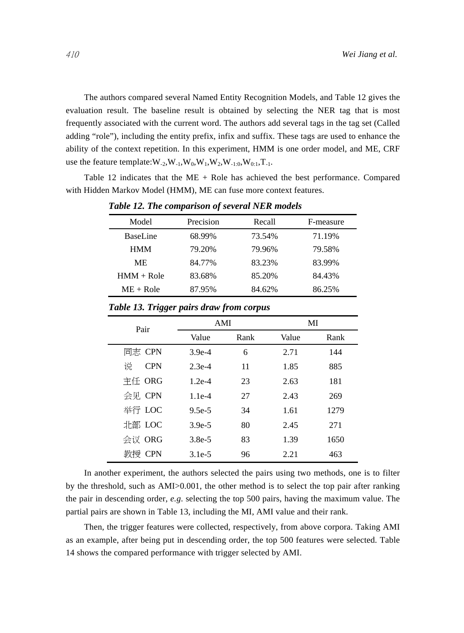The authors compared several Named Entity Recognition Models, and Table 12 gives the evaluation result. The baseline result is obtained by selecting the NER tag that is most frequently associated with the current word. The authors add several tags in the tag set (Called adding "role"), including the entity prefix, infix and suffix. These tags are used to enhance the ability of the context repetition. In this experiment, HMM is one order model, and ME, CRF use the feature template: $W_{-2}$ , $W_{-1}$ , $W_0$ , $W_1$ , $W_2$ , $W_{-1:0}$ , $W_{0:1}$ , $T_{-1}$ .

Table 12 indicates that the ME + Role has achieved the best performance. Compared with Hidden Markov Model (HMM), ME can fuse more context features.

| Model        | Precision | Recall | F-measure |
|--------------|-----------|--------|-----------|
| BaseLine     | 68.99%    | 73.54% | 71.19%    |
| <b>HMM</b>   | 79.20%    | 79.96% | 79.58%    |
| МE           | 84.77%    | 83.23% | 83.99%    |
| $HMM + Role$ | 83.68%    | 85.20% | 84.43%    |
| $ME + Role$  | 87.95%    | 84.62% | 86.25%    |

*Table 12. The comparison of several NER models* 

| Pair            | AMI      |      | MI    |      |  |
|-----------------|----------|------|-------|------|--|
|                 | Value    | Rank | Value | Rank |  |
| 同志 CPN          | $3.9e-4$ | 6    | 2.71  | 144  |  |
| 说<br><b>CPN</b> | $2.3e-4$ | 11   | 1.85  | 885  |  |
| 主任 ORG          | $1.2e-4$ | 23   | 2.63  | 181  |  |
| 会见 CPN          | $1.1e-4$ | 27   | 2.43  | 269  |  |
| 举行 LOC          | $9.5e-5$ | 34   | 1.61  | 1279 |  |
| 北部 LOC          | $3.9e-5$ | 80   | 2.45  | 271  |  |
| 会议 ORG          | $3.8e-5$ | 83   | 1.39  | 1650 |  |
| 教授 CPN          | $3.1e-5$ | 96   | 2.21  | 463  |  |

*Table 13. Trigger pairs draw from corpus* 

In another experiment, the authors selected the pairs using two methods, one is to filter by the threshold, such as AMI>0.001, the other method is to select the top pair after ranking the pair in descending order, *e.g*. selecting the top 500 pairs, having the maximum value. The partial pairs are shown in Table 13, including the MI, AMI value and their rank.

Then, the trigger features were collected, respectively, from above corpora. Taking AMI as an example, after being put in descending order, the top 500 features were selected. Table 14 shows the compared performance with trigger selected by AMI.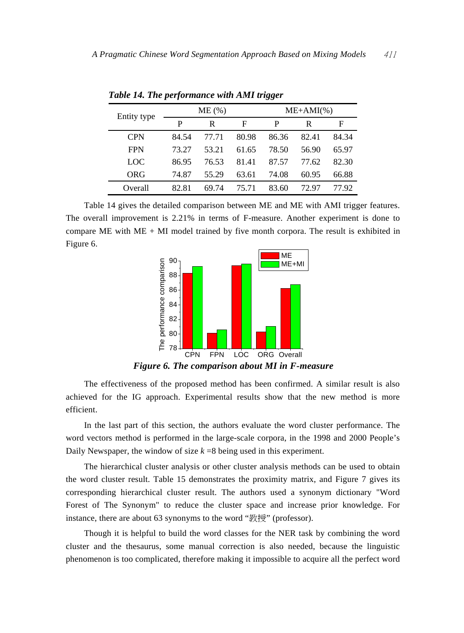| Entity type | ME(%) |       |       | $ME+AMI(\%)$ |       |       |
|-------------|-------|-------|-------|--------------|-------|-------|
|             | P     | R     | F     | P            | R     | F     |
| <b>CPN</b>  | 84.54 | 77.71 | 80.98 | 86.36        | 82.41 | 84.34 |
| <b>FPN</b>  | 73.27 | 53.21 | 61.65 | 78.50        | 56.90 | 65.97 |
| LOC         | 86.95 | 76.53 | 81.41 | 87.57        | 77.62 | 82.30 |
| ORG         | 74.87 | 55.29 | 63.61 | 74.08        | 60.95 | 66.88 |
| Overall     | 82.81 | 69.74 | 75.71 | 83.60        | 72 97 | 77 92 |

*Table 14. The performance with AMI trigger* 

Table 14 gives the detailed comparison between ME and ME with AMI trigger features. The overall improvement is 2.21% in terms of F-measure. Another experiment is done to compare ME with  $ME + MI$  model trained by five month corpora. The result is exhibited in Figure 6.



*Figure 6. The comparison about MI in F-measure* 

The effectiveness of the proposed method has been confirmed. A similar result is also achieved for the IG approach. Experimental results show that the new method is more efficient.

In the last part of this section, the authors evaluate the word cluster performance. The word vectors method is performed in the large-scale corpora, in the 1998 and 2000 People's Daily Newspaper, the window of size  $k = 8$  being used in this experiment.

The hierarchical cluster analysis or other cluster analysis methods can be used to obtain the word cluster result. Table 15 demonstrates the proximity matrix, and Figure 7 gives its corresponding hierarchical cluster result. The authors used a synonym dictionary "Word Forest of The Synonym" to reduce the cluster space and increase prior knowledge. For instance, there are about 63 synonyms to the word "教授" (professor).

Though it is helpful to build the word classes for the NER task by combining the word cluster and the thesaurus, some manual correction is also needed, because the linguistic phenomenon is too complicated, therefore making it impossible to acquire all the perfect word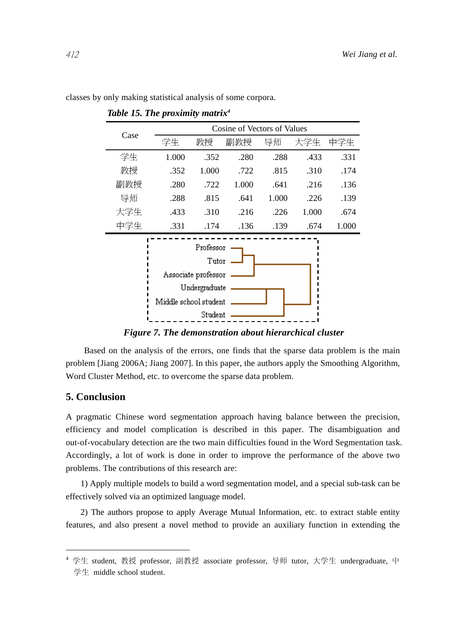| Case                                                                                           | Cosine of Vectors of Values |       |       |       |       |       |
|------------------------------------------------------------------------------------------------|-----------------------------|-------|-------|-------|-------|-------|
|                                                                                                | 学生                          | 教授    | 副教授   | 导师    | 大学生   | 中学生   |
| 学生                                                                                             | 1.000                       | .352  | .280  | .288  | .433  | .331  |
| 教授                                                                                             | .352                        | 1.000 | .722  | .815  | .310  | .174  |
| 副教授                                                                                            | .280                        | .722  | 1.000 | .641  | .216  | .136  |
| 导师                                                                                             | .288                        | .815  | .641  | 1.000 | .226  | .139  |
| 大学生                                                                                            | .433                        | .310  | .216  | .226  | 1.000 | .674  |
| 中学生                                                                                            | .331                        | .174  | .136  | .139  | .674  | 1.000 |
| Professor<br>Tutor<br>Associate professor<br>Undergraduate<br>Middle school student<br>Student |                             |       |       |       |       |       |

classes by only making statistical analysis of some corpora.

*Table 15. The proximity matrix4*

*Figure 7. The demonstration about hierarchical cluster* 

Based on the analysis of the errors, one finds that the sparse data problem is the main problem [Jiang 2006A; Jiang 2007]. In this paper, the authors apply the Smoothing Algorithm, Word Cluster Method, etc. to overcome the sparse data problem.

## **5. Conclusion**

 $\overline{a}$ 

A pragmatic Chinese word segmentation approach having balance between the precision, efficiency and model complication is described in this paper. The disambiguation and out-of-vocabulary detection are the two main difficulties found in the Word Segmentation task. Accordingly, a lot of work is done in order to improve the performance of the above two problems. The contributions of this research are:

1) Apply multiple models to build a word segmentation model, and a special sub-task can be effectively solved via an optimized language model.

2) The authors propose to apply Average Mutual Information, etc. to extract stable entity features, and also present a novel method to provide an auxiliary function in extending the

<sup>4</sup> 学生 student, 教授 professor, 副教授 associate professor, 导师 tutor, 大学生 undergraduate, 中 学生 middle school student.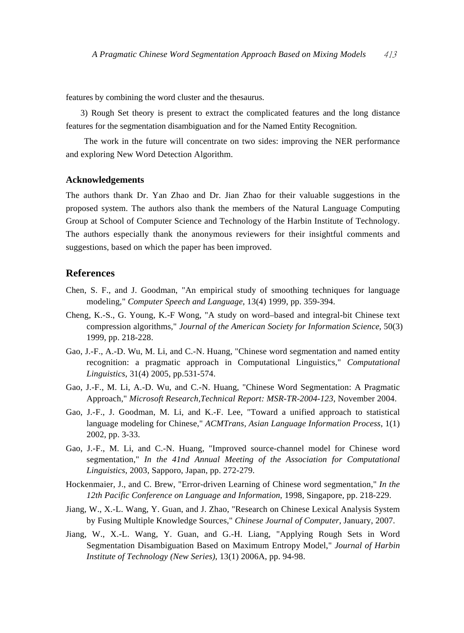features by combining the word cluster and the thesaurus.

3) Rough Set theory is present to extract the complicated features and the long distance features for the segmentation disambiguation and for the Named Entity Recognition.

The work in the future will concentrate on two sides: improving the NER performance and exploring New Word Detection Algorithm.

#### **Acknowledgements**

The authors thank Dr. Yan Zhao and Dr. Jian Zhao for their valuable suggestions in the proposed system. The authors also thank the members of the Natural Language Computing Group at School of Computer Science and Technology of the Harbin Institute of Technology. The authors especially thank the anonymous reviewers for their insightful comments and suggestions, based on which the paper has been improved.

# **References**

- Chen, S. F., and J. Goodman, "An empirical study of smoothing techniques for language modeling," *Computer Speech and Language*, 13(4) 1999, pp. 359-394.
- Cheng, K.-S., G. Young, K.-F Wong, "A study on word–based and integral-bit Chinese text compression algorithms," *Journal of the American Society for Information Science*, 50(3) 1999, pp. 218-228.
- Gao, J.-F., A.-D. Wu, M. Li, and C.-N. Huang, "Chinese word segmentation and named entity recognition: a pragmatic approach in Computational Linguistics," *Computational Linguistics*, 31(4) 2005, pp.531-574.
- Gao, J.-F., M. Li, A.-D. Wu, and C.-N. Huang, "Chinese Word Segmentation: A Pragmatic Approach," *Microsoft Research,Technical Report: MSR-TR-2004-123*, November 2004.
- Gao, J.-F., J. Goodman, M. Li, and K.-F. Lee, "Toward a unified approach to statistical language modeling for Chinese," *ACMTrans, Asian Language Information Process*, 1(1) 2002, pp. 3-33.
- Gao, J.-F., M. Li, and C.-N. Huang, "Improved source-channel model for Chinese word segmentation," *In the 41nd Annual Meeting of the Association for Computational Linguistics*, 2003, Sapporo, Japan, pp. 272-279.
- Hockenmaier, J., and C. Brew, "Error-driven Learning of Chinese word segmentation," *In the 12th Pacific Conference on Language and Information*, 1998, Singapore, pp. 218-229.
- Jiang, W., X.-L. Wang, Y. Guan, and J. Zhao, "Research on Chinese Lexical Analysis System by Fusing Multiple Knowledge Sources," *Chinese Journal of Computer*, January, 2007.
- Jiang, W., X.-L. Wang, Y. Guan, and G.-H. Liang, "Applying Rough Sets in Word Segmentation Disambiguation Based on Maximum Entropy Model," *Journal of Harbin Institute of Technology (New Series)*, 13(1) 2006A, pp. 94-98.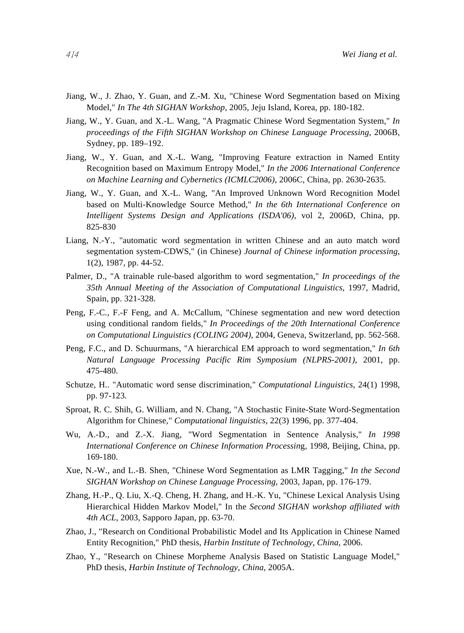- Jiang, W., J. Zhao, Y. Guan, and Z.-M. Xu, "Chinese Word Segmentation based on Mixing Model," *In The 4th SIGHAN Workshop*, 2005, Jeju Island, Korea, pp. 180-182.
- Jiang, W., Y. Guan, and X.-L. Wang, "A Pragmatic Chinese Word Segmentation System," *In proceedings of the Fifth SIGHAN Workshop on Chinese Language Processing*, 2006B, Sydney, pp. 189–192.
- Jiang, W., Y. Guan, and X.-L. Wang, "Improving Feature extraction in Named Entity Recognition based on Maximum Entropy Model," *In the 2006 International Conference on Machine Learning and Cybernetics (ICMLC2006)*, 2006C, China, pp. 2630-2635.
- Jiang, W., Y. Guan, and X.-L. Wang, "An Improved Unknown Word Recognition Model based on Multi-Knowledge Source Method," *In the 6th International Conference on Intelligent Systems Design and Applications (ISDA'06)*, vol 2, 2006D, China, pp. 825-830
- Liang, N.-Y., "automatic word segmentation in written Chinese and an auto match word segmentation system-CDWS," (in Chinese) *Journal of Chinese information processing*, 1(2), 1987, pp. 44-52.
- Palmer, D., "A trainable rule-based algorithm to word segmentation," *In proceedings of the 35th Annual Meeting of the Association of Computational Linguistics*, 1997, Madrid, Spain, pp. 321-328.
- Peng, F.-C., F.-F Feng, and A. McCallum, "Chinese segmentation and new word detection using conditional random fields," *In Proceedings of the 20th International Conference on Computational Linguistics (COLING 2004)*, 2004, Geneva, Switzerland, pp. 562-568.
- Peng, F.C., and D. Schuurmans, "A hierarchical EM approach to word segmentation," *In 6th Natural Language Processing Pacific Rim Symposium (NLPRS-2001)*, 2001, pp. 475-480.
- Schutze, H.. "Automatic word sense discrimination," *Computational Linguistics*, 24(1) 1998, pp. 97-123.
- Sproat, R. C. Shih, G. William, and N. Chang, "A Stochastic Finite-State Word-Segmentation Algorithm for Chinese," *Computational linguistics*, 22(3) 1996, pp. 377-404.
- Wu, A.-D., and Z.-X. Jiang, "Word Segmentation in Sentence Analysis," *In 1998 International Conference on Chinese Information Processin*g, 1998, Beijing, China, pp. 169-180.
- Xue, N.-W., and L.-B. Shen, "Chinese Word Segmentation as LMR Tagging," *In the Second SIGHAN Workshop on Chinese Language Processing*, 2003, Japan, pp. 176-179.
- Zhang, H.-P., Q. Liu, X.-Q. Cheng, H. Zhang, and H.-K. Yu, "Chinese Lexical Analysis Using Hierarchical Hidden Markov Model," In the *Second SIGHAN workshop affiliated with 4th ACL*, 2003, Sapporo Japan, pp. 63-70.
- Zhao, J., "Research on Conditional Probabilistic Model and Its Application in Chinese Named Entity Recognition," PhD thesis, *Harbin Institute of Technology, China*, 2006.
- Zhao, Y., "Research on Chinese Morpheme Analysis Based on Statistic Language Model," PhD thesis, *Harbin Institute of Technology, China*, 2005A.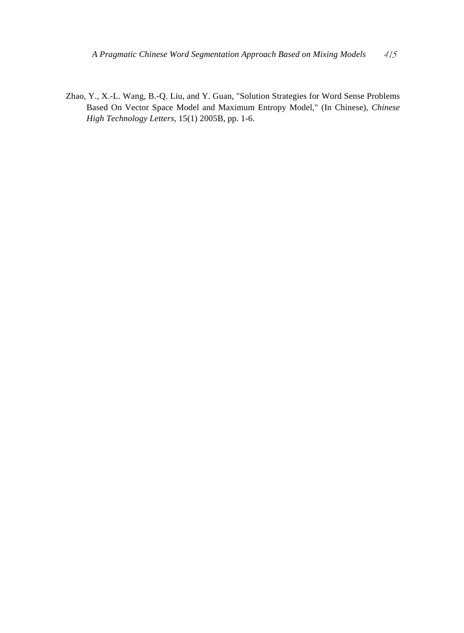Zhao, Y., X.-L. Wang, B.-Q. Liu, and Y. Guan, "Solution Strategies for Word Sense Problems Based On Vector Space Model and Maximum Entropy Model," (In Chinese), *Chinese High Technology Letters*, 15(1) 2005B, pp. 1-6.